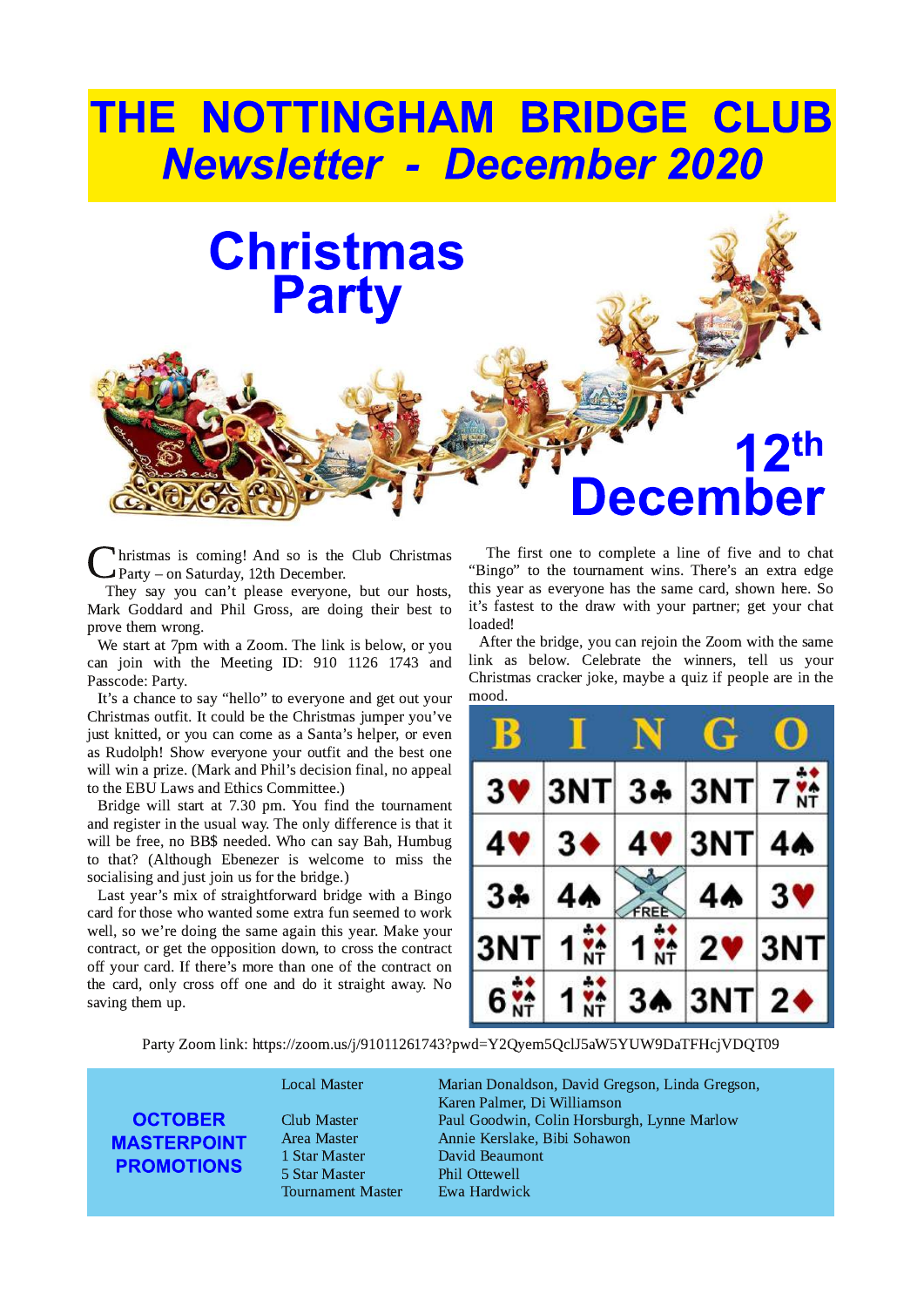# THE NOTTINGHAM BRIDGE CLUB **Newsletter - December 2020**

# **Christmas Party**

 $C_{\Gamma}$ Inristmas is coming! And so is the Club Christmas Party – on Saturday, 12th December.

They say you can't please everyone, but our hosts, Mark Goddard and Phil Gross, are doing their best to prove them wrong.

We start at 7pm with a Zoom. The link is below, or you can join with the Meeting ID: 910 1126 1743 and Passcode: Party.

It's a chance to say "hello" to everyone and get out your Christmas outfit. It could be the Christmas jumper you've just knitted, or you can come as a Santa's helper, or even as Rudolph! Show everyone your outfit and the best one will win a prize. (Mark and Phil's decision final, no appeal to the EBU Laws and Ethics Committee.)

Bridge will start at 7.30 pm. You find the tournament and register in the usual way. The only difference is that it will be free, no BB\$ needed. Who can say Bah, Humbug to that? (Although Ebenezer is welcome to miss the socialising and just join us for the bridge.)

Last year's mix of straightforward bridge with a Bingo card for those who wanted some extra fun seemed to work well, so we're doing the same again this year. Make your contract, or get the opposition down, to cross the contract off your card. If there's more than one of the contract on the card, only cross off one and do it straight away. No saving them up.

The first one to complete a line of five and to chat "Bingo" to the tournament wins. There's an extra edge this year as everyone has the same card, shown here. So it's fastest to the draw with your partner; get your chat loaded!

ecember

 $2<sup>th</sup>$ 

After the bridge, you can rejoin the Zoom with the same link as below. Celebrate the winners, tell us your Christmas cracker joke, maybe a quiz if people are in the mood.

|                | <b>Ay</b>      |              | $\mathbf{G}$                  |                 |
|----------------|----------------|--------------|-------------------------------|-----------------|
| 3 <sup>4</sup> |                |              | 3NT 34 3NT                    | 7 <sup>44</sup> |
| 4V             | 3 <sub>•</sub> | $\mathbf{4}$ | 3NT                           | 44              |
| 34             |                |              |                               | <b>3V</b>       |
| 3 <sup>1</sup> |                |              | 2 <sup>1</sup>                | 3               |
| 6 <sup>′</sup> |                |              | $ {\sf T} $<br>3 <sub>h</sub> | $2\bullet$      |

Party Zoom link: https://zoom.us/j/91011261743?pwd=Y2Qyem5QclJ5aW5YUW9DaTFHcjVDQT09

#### **OCTOBER MASTERPOINT PROMOTIONS**

5 Star Master <sup>Phil</sup> Ottewell<br>Tournament Master Ewa Hardwick Tournament Master

Local Master **Marian Donaldson, David Gregson, Linda Gregson**, Karen Palmer, Di Williamson ?H5 '4FG8E \*4H? !BB7J<A B?<A "BEF5HE:; &LAA8 '4E?BJ Area Master **1986** Annie Kerslake, Bibi Sohawon<br>1 Star Master **1986** David Beaumont David Beaumont<br>Phil Ottewell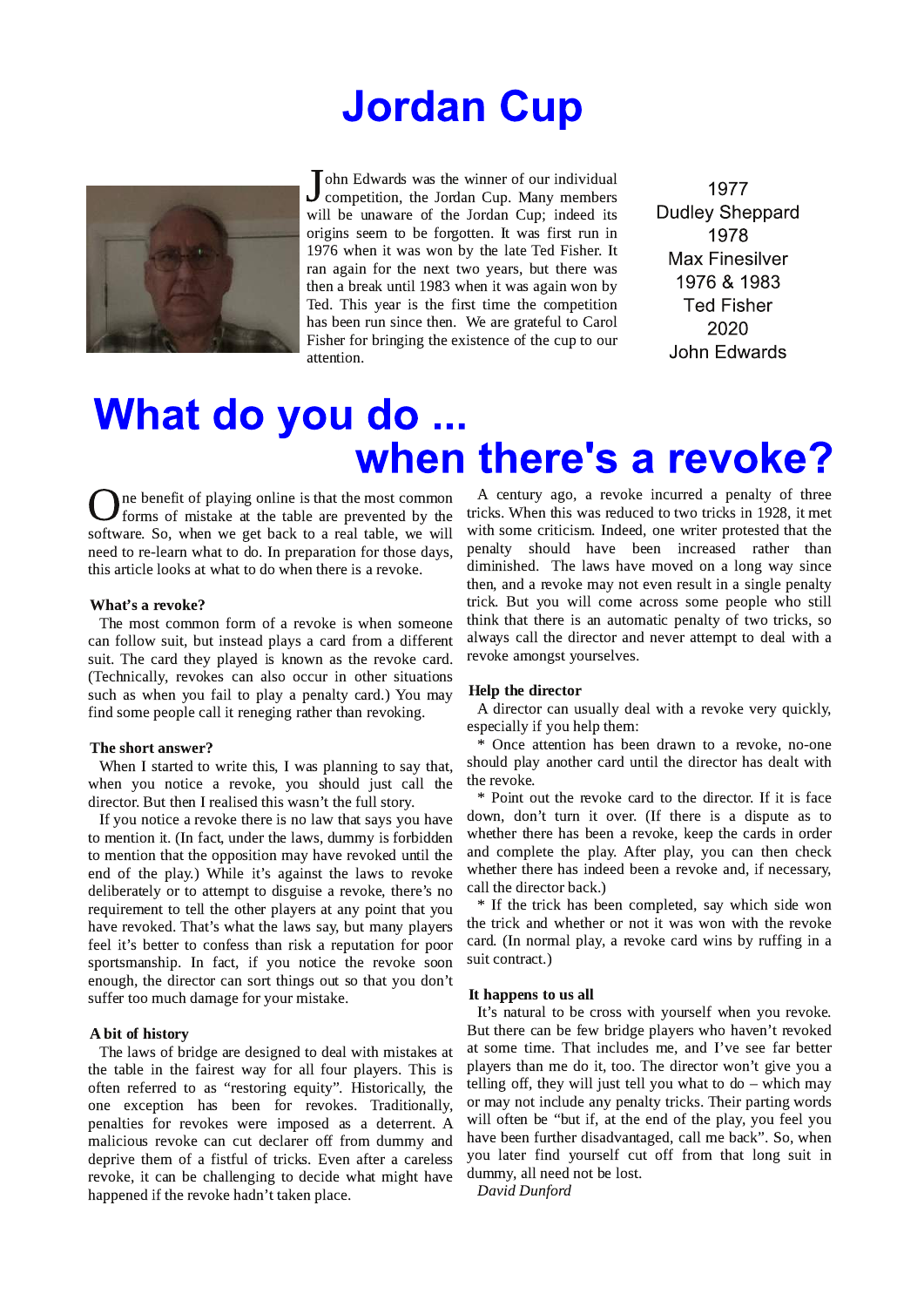### **Jordan Cup**



ohn Edwards was the winner of our individual J onn Euwarus was the where  $\sim$  1.1.<br>competition, the Jordan Cup. Many members will be unaware of the Jordan Cup; indeed its origins seem to be forgotten. It was first run in 1976 when it was won by the late Ted Fisher. It ran again for the next two years, but there was then a break until 1983 when it was again won by Ted. This year is the first time the competition has been run since then. We are grateful to Carol Fisher for bringing the existence of the cup to our attention.

1977 **Dudley Sheppard** 1978 **Max Finesilver** 1976 & 1983 **Ted Fisher** 2020 John Edwards

### What do you do ... when there's a revoke?

ne benefit of playing online is that the most common forms of mistake at the table are prevented by the software. So, when we get back to a real table, we will need to re-learn what to do. In preparation for those days, this article looks at what to do when there is a revoke.

#### What's a revoke?

The most common form of a revoke is when someone can follow suit, but instead plays a card from a different suit. The card they played is known as the revoke card. (Technically, revokes can also occur in other situations such as when you fail to play a penalty card.) You may find some people call it reneging rather than revoking.

#### The short answer?

When I started to write this, I was planning to say that, when you notice a revoke, you should just call the director. But then I realised this wasn't the full story.

If you notice a revoke there is no law that says you have to mention it. (In fact, under the laws, dummy is forbidden to mention that the opposition may have revoked until the end of the play.) While it's against the laws to revoke deliberately or to attempt to disguise a revoke, there's no requirement to tell the other players at any point that you have revoked. That's what the laws say, but many players feel it's better to confess than risk a reputation for poor sportsmanship. In fact, if you notice the revoke soon enough, the director can sort things out so that you don't suffer too much damage for your mistake.

#### A bit of history

The laws of bridge are designed to deal with mistakes at the table in the fairest way for all four players. This is often referred to as "restoring equity". Historically, the one exception has been for revokes. Traditionally, penalties for revokes were imposed as a deterrent. A malicious revoke can cut declarer off from dummy and deprive them of a fistful of tricks. Even after a careless revoke, it can be challenging to decide what might have happened if the revoke hadn't taken place.

A century ago, a revoke incurred a penalty of three tricks. When this was reduced to two tricks in 1928, it met with some criticism. Indeed, one writer protested that the penalty should have been increased rather than diminished. The laws have moved on a long way since then, and a revoke may not even result in a single penalty trick. But you will come across some people who still think that there is an automatic penalty of two tricks, so always call the director and never attempt to deal with a revoke amongst yourselves.

#### **Help the director**

A director can usually deal with a revoke very quickly, especially if you help them:

\* Once attention has been drawn to a revoke, no-one should play another card until the director has dealt with the revoke.

\* Point out the revoke card to the director. If it is face down, don't turn it over. (If there is a dispute as to whether there has been a revoke, keep the cards in order and complete the play. After play, you can then check whether there has indeed been a revoke and, if necessary, call the director back.)

\* If the trick has been completed, say which side won the trick and whether or not it was won with the revoke card. (In normal play, a revoke card wins by ruffing in a suit contract.)

#### It happens to us all

It's natural to be cross with yourself when you revoke. But there can be few bridge players who haven't revoked at some time. That includes me, and I've see far better players than me do it, too. The director won't give you a telling off, they will just tell you what to  $do$  – which may or may not include any penalty tricks. Their parting words will often be "but if, at the end of the play, you feel you have been further disadvantaged, call me back". So, when you later find yourself cut off from that long suit in dummy, all need not be lost.

David Dunford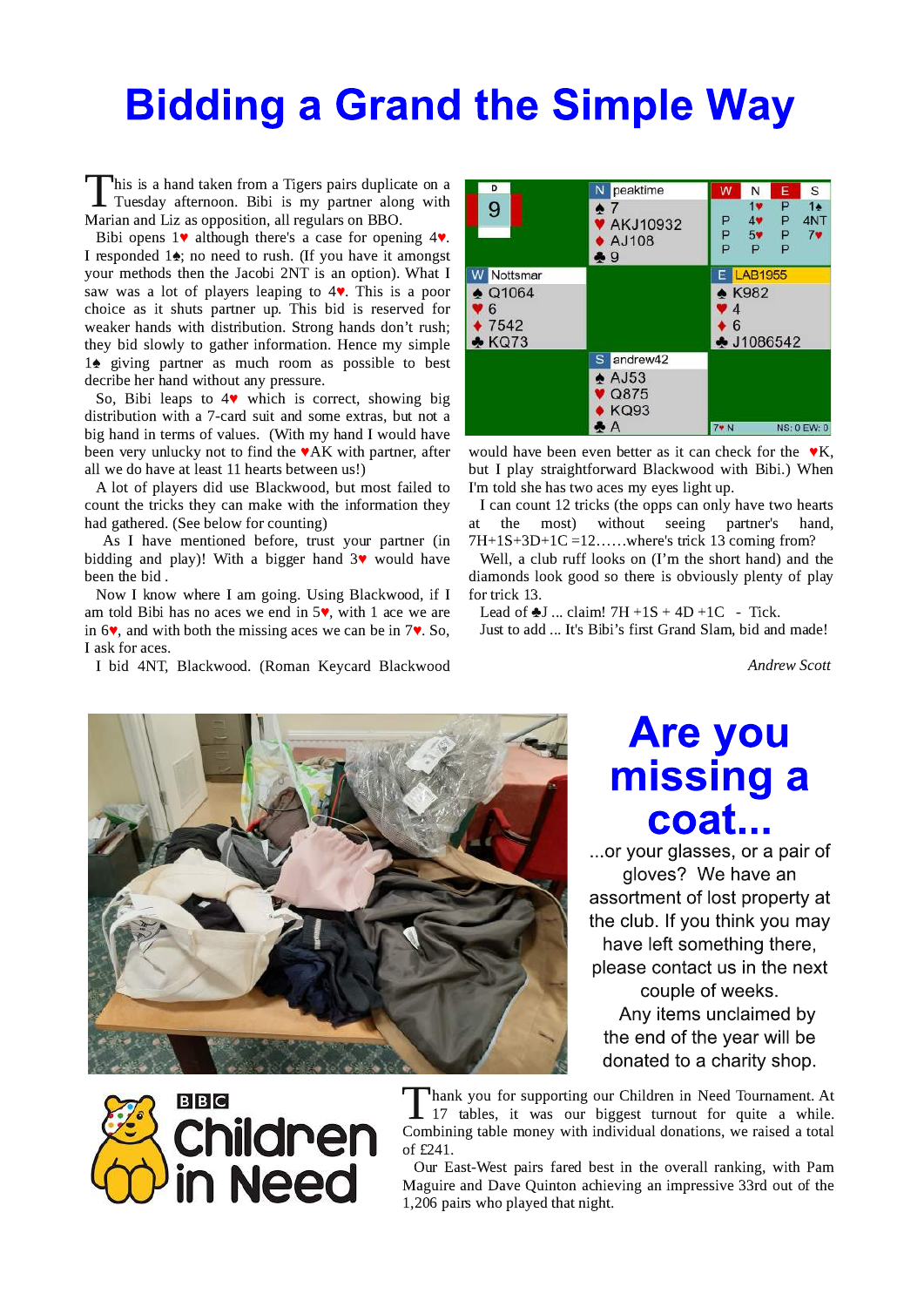# **Bidding a Grand the Simple Way**

This is a hand taken from a Tigers pairs duplicate on a  $\blacksquare$  Tuesday afternoon. Bibi is my partner along with Marian and Liz as opposition, all regulars on BBO.

Bibi opens  $1\blacktriangledown$  although there's a case for opening  $4\blacktriangledown$ . I responded  $1\spadesuit$ ; no need to rush. (If you have it amongst your methods then the Jacobi 2NT is an option). What I saw was a lot of players leaping to  $4\blacktriangledown$ . This is a poor choice as it shuts partner up. This bid is reserved for weaker hands with distribution. Strong hands don't rush; they bid slowly to gather information. Hence my simple 1<sup>•</sup> giving partner as much room as possible to best decribe her hand without any pressure.

So, Bibi leaps to 4<sup>v</sup> which is correct, showing big distribution with a 7-card suit and some extras, but not a big hand in terms of values. (With my hand I would have been very unlucky not to find the  $\blacktriangledown AK$  with partner, after all we do have at least 11 hearts between us!)

A lot of players did use Blackwood, but most failed to count the tricks they can make with the information they had gathered. (See below for counting)

As I have mentioned before, trust your partner (in bidding and play)! With a bigger hand  $3\blacktriangledown$  would have been the bid.

Now I know where I am going. Using Blackwood, if I am told Bibi has no aces we end in  $5\blacktriangledown$ , with 1 ace we are in  $6\blacktriangledown$ , and with both the missing aces we can be in  $7\blacktriangledown$ . So, I ask for aces.

I bid 4NT, Blackwood. (Roman Keycard Blackwood



would have been even better as it can check for the  $\mathbf{v}$ K, but I play straightforward Blackwood with Bibi.) When I'm told she has two aces my eyes light up.

I can count 12 tricks (the opps can only have two hearts without seeing the most) partner's hand. **at** 7H+1S+3D+1C =12......where's trick 13 coming from?

Well, a club ruff looks on (I'm the short hand) and the diamonds look good so there is obviously plenty of play for trick 13.

Lead of  $\clubsuit$ J ... claim! 7H +1S + 4D +1C - Tick. Just to add ... It's Bibi's first Grand Slam, bid and made!

**Andrew Scott** 



# **Are you<br>missing a** coat...

...or your glasses, or a pair of gloves? We have an assortment of lost property at the club. If you think you may have left something there. please contact us in the next couple of weeks. Any items unclaimed by the end of the year will be

donated to a charity shop.



Thank you for supporting our Children in Need Tournament. At 17 tables, it was our biggest turnout for quite a while. Combining table money with individual donations, we raised a total of £241.

Our East-West pairs fared best in the overall ranking, with Pam Maguire and Dave Quinton achieving an impressive 33rd out of the 1,206 pairs who played that night.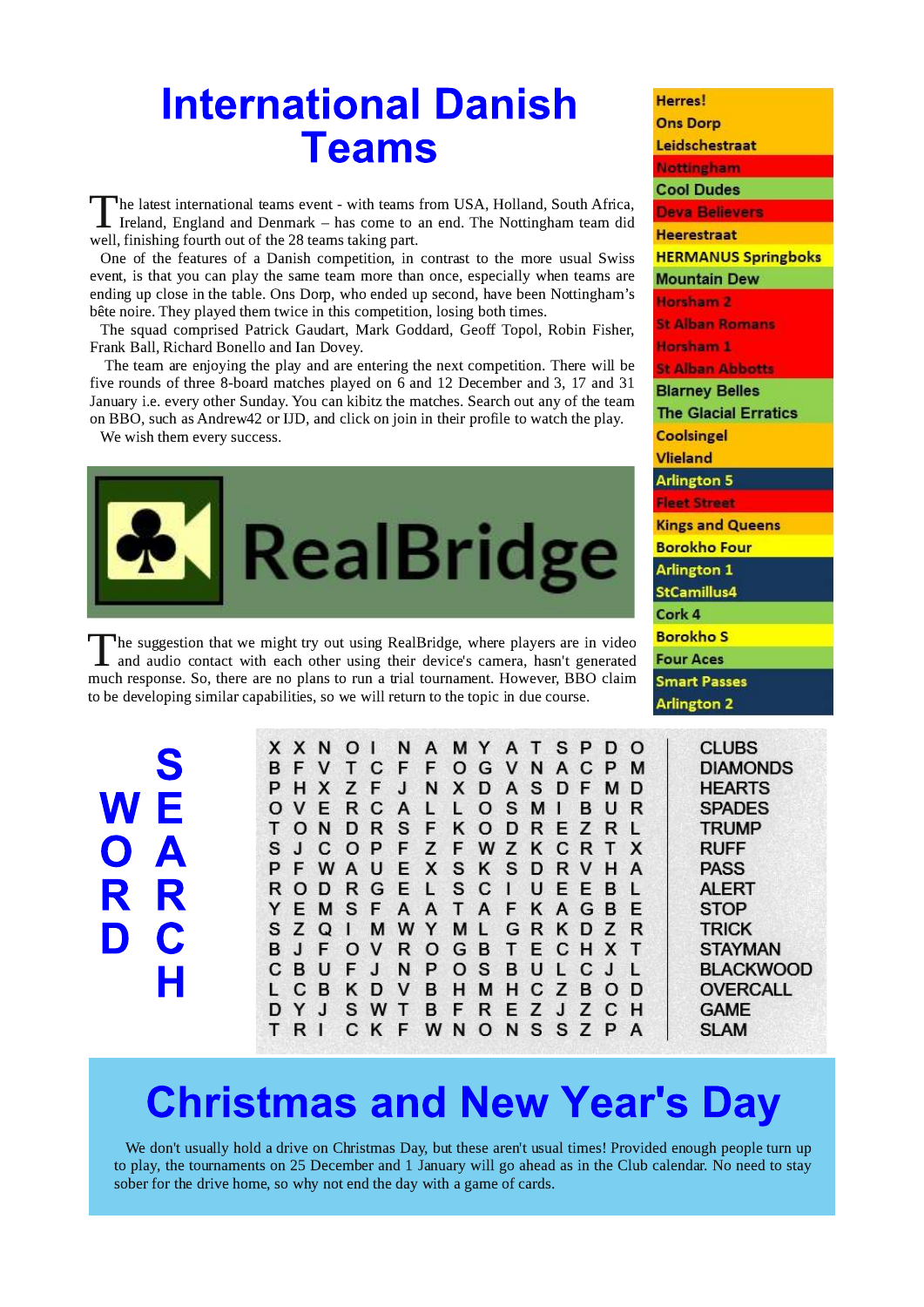### **International Danish Teams**

 $\mathsf{\bar{\text{}}}$ he latest international teams event - with teams from USA, Holland, South Africa,  $\mathsf L$  Ireland, England and Denmark – has come to an end. The Nottingham team did well, finishing fourth out of the 28 teams taking part.

One of the features of a Danish competition, in contrast to the more usual Swiss event, is that you can play the same team more than once, especially when teams are ending up close in the table. Ons Dorp, who ended up second, have been Nottingham's bête noire. They played them twice in this competition, losing both times.

The squad comprised Patrick Gaudart, Mark Goddard, Geoff Topol, Robin Fisher, Frank Ball, Richard Bonello and Ian Dovey.

The team are enjoying the play and are entering the next competition. There will be five rounds of three 8-board matches played on 6 and 12 December and 3, 17 and 31 January i.e. every other Sunday. You can kibitz the matches. Search out any of the team on BBO, such as Andrew 42 or IJD, and click on join in their profile to watch the play.

We wish them every success.



The suggestion that we might try out using RealBridge, where players are in video 1 and audio contact with each other using their device's camera, hasn't generated much response. So, there are no plans to run a trial tournament. However, BBO claim to be developing similar capabilities, so we will return to the topic in due course.

 $N \tilde{E}$  $\overline{O}$   $\overline{A}$ R R C D

|       |      |       | X X N O I N A M Y A T S P D O |           |  |      |  |    |        |  |
|-------|------|-------|-------------------------------|-----------|--|------|--|----|--------|--|
|       |      |       | B F V T C F F O G V N A C P M |           |  |      |  |    |        |  |
|       |      |       | P H X Z F J N X D A S D F M D |           |  |      |  |    |        |  |
|       |      |       | OVERCALLOSMIB                 |           |  |      |  | UR |        |  |
| T O N |      |       | <b>DRSFKODREZRL</b>           |           |  |      |  |    |        |  |
|       |      |       | S J C O P F Z F W Z K C R T X |           |  |      |  |    |        |  |
|       |      |       | P F W A U E X S K S D R V H A |           |  |      |  |    |        |  |
|       |      |       | ROD R G E L S C I             |           |  | UEEB |  |    | $\sim$ |  |
|       |      |       | Y E M S F A A T A F K A G B   |           |  |      |  |    | F      |  |
|       | SZQI |       | M W Y M L G R K D Z R         |           |  |      |  |    |        |  |
|       |      |       | B J F O V R O G B T E C H X T |           |  |      |  |    |        |  |
| C B   | U    |       | <b>FJNPOSBULCJL</b>           |           |  |      |  |    |        |  |
| L C B |      |       | K D V B H M H C Z B O D       |           |  |      |  |    |        |  |
| D Y   | J    | S W T |                               | BFREZJZCH |  |      |  |    |        |  |
| TRI   |      |       | CKF WNONSSZPA                 |           |  |      |  |    |        |  |

| <b>Herres!</b>              |
|-----------------------------|
| <b>Ons Dorp</b>             |
| Leidschestraat              |
| <b>Nottingham</b>           |
| <b>Cool Dudes</b>           |
| <b>Deva Believers</b>       |
| <b>Heerestraat</b>          |
| <b>HERMANUS Springboks</b>  |
| <b>Mountain Dew</b>         |
| Horsham 2                   |
| <b>St Alban Roma</b>        |
| <b>Horsham 1</b>            |
| <b>St Alban Abbotts</b>     |
| <b>Blarney Belles</b>       |
| <b>The Glacial Erratics</b> |
| <b>Coolsingel</b>           |
| <b>Vlieland</b>             |
| Arlington 5                 |
| <b>Fleet Stree</b>          |
| <b>Kings and Queens</b>     |
| <b>Borokho Four</b>         |
| <b>Arlington 1</b>          |
| StCamillus4                 |
| Cork 4                      |
| <b>Borokho S</b>            |
| <b>Four Aces</b>            |
| <b>Smart Passes</b>         |
| <b>Arlington 2</b>          |
|                             |

**CLUBS DIAMONDS HEARTS SPADES TRUMP RUFF PASS ALERT STOP TRICK STAYMAN BLACKWOOD OVERCALL GAME SLAM** 

# **Christmas and New Year's Day**

We don't usually hold a drive on Christmas Day, but these aren't usual times! Provided enough people turn up to play, the tournaments on 25 December and 1 January will go ahead as in the Club calendar. No need to stay sober for the drive home, so why not end the day with a game of cards.